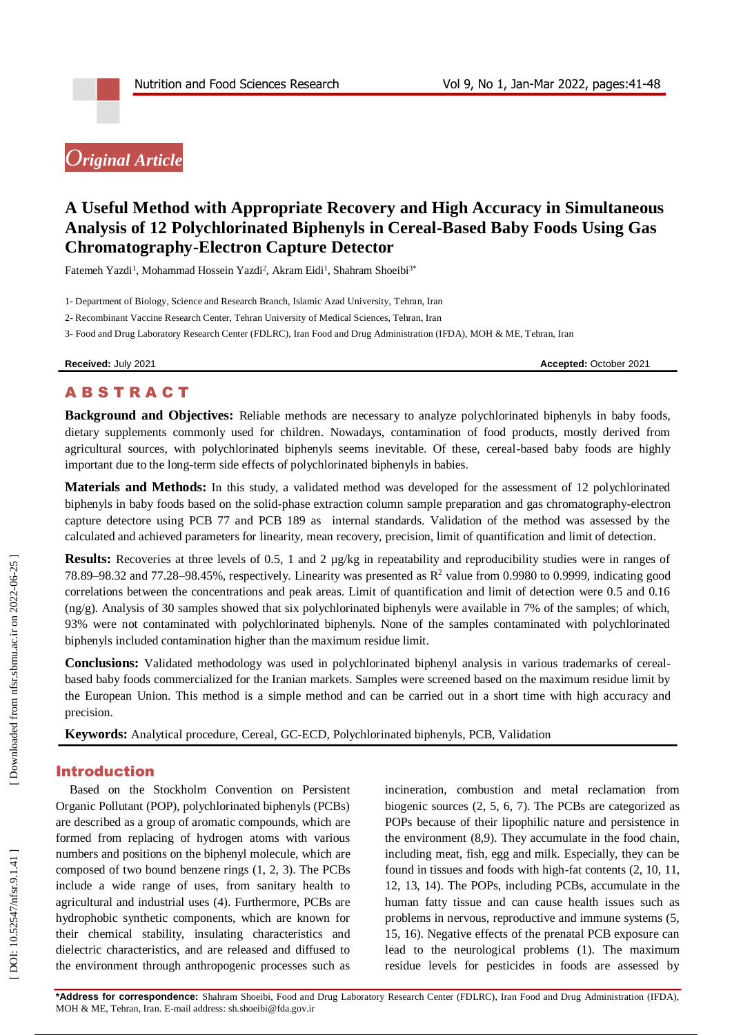# *Original Article*

## **A Useful Method with Appropriate Recovery and High Accuracy in Simultaneous Analysis of 12 Polychlorinated Biphenyls in Cereal -Based Baby Foods Using Gas Chromatography -Electron Capture Detector**

Fatemeh Yazdi<sup>1</sup>, Mohammad Hossein Yazdi<sup>2</sup>, Akram Eidi<sup>1</sup>, Shahram Shoeibi<sup>3\*</sup>

1 - Department of Biology, Science and Research Branch, Islamic Azad University, Tehran, Iran

2 - Recombinant Vaccine Research Center, Tehran University of Medical Sciences, Tehran, Iran

3 - Food and Drug Laboratory Research Center (FDLRC), Iran Food and Drug Administration (IFDA), MOH & ME, Tehran, Iran

**Received:** July 2021 **Accepted:** October 2021

## **ABSTRACT**

**Background and Objectives:** Reliable methods are necessary to analyze polychlorinated biphenyls in baby foods, dietary supplements commonly used for children. Nowadays, contamination of food products, mostly derived from agricultural sources, with polychlorinated biphenyls seems inevitable. Of these, cereal -based baby foods are highly important due to the long -term side effects of polychlorinated biphenyls in babies.

**Materials and Methods:** In this study, a validated method was developed for the assessment of 12 polychlorinated biphenyls in baby foods based on the solid -phase extraction column sample preparation and gas chromatography -electron capture detectore using PCB 77 and PCB 189 as internal standards. Validation of the method was assessed by the calculated and achieved parameters for linearity, mean recovery, precision, limit of quantification and limit of detection.

**Results:** Recoveries at three levels of 0.5, 1 and 2  $\mu$ g/kg in repeatability and reproducibility studies were in ranges of 78.89–98.32 and 77.28–98.45%, respectively. Linearity was presented as  $R^2$  value from 0.9980 to 0.9999, indicating good correlations between the concentrations and peak areas. Limit of quantification and limit of detection were 0.5 and 0.16  $(ng/g)$ . Analysis of 30 samples showed that six polychlorinated biphenyls were available in 7% of the samples; of which, 93% were not contaminated with polychlorinated biphenyls. None of the samples contaminated with polychlorinated biphenyls included contamination higher than the maximum residue limit.

**Conclusions:** Validated methodology was used in polychlorinated biphenyl analysis in various trademarks of cereal based baby foods commercialized for the Iranian markets. Samples were screened based on the maximum residue limit by the European Union. This method is a simple method and can be carried out in a short time with high accuracy and precision.

Keywords: Analytical procedure, Cereal, GC-ECD, Polychlorinated biphenyls, PCB, Validation

## Introduction

Based on the Stockholm Convention on Persistent Organic Pollutant (POP), polychlorinated biphenyls (PCBs) are described as a group of aromatic compounds, which are formed from replacing of hydrogen atoms with various numbers and positions on the biphenyl molecule, which are composed of two bound benzene rings (1, 2, 3). The PCBs include a wide range of uses, from sanitary health to agricultural and industrial uses (4). Furthermore, PCBs are hydrophobic synthetic components, which are known for their chemical stability, insulating characteristics and dielectric characteristics, and are released and diffused to the environment through anthropogenic processes such as

incineration, combustion and metal reclamation from biogenic sources (2, 5, 6, 7). The PCBs are categorized as POPs because of their lipophilic nature and persistence in the environment (8,9). They accumulate in the food chain, including meat, fish, egg and milk. Especially, they can be found in tissues and foods with high -fat contents (2, 10, 11, 12, 13, 14). The POPs, including PCBs, accumulate in the human fatty tissue and can cause health issues such as problems in nervous, reproductive and immune systems (5, 15, 16). Negative effects of the prenatal PCB exposure can lead to the neurological problems (1). The maximum residue levels for pesticides in foods are assessed by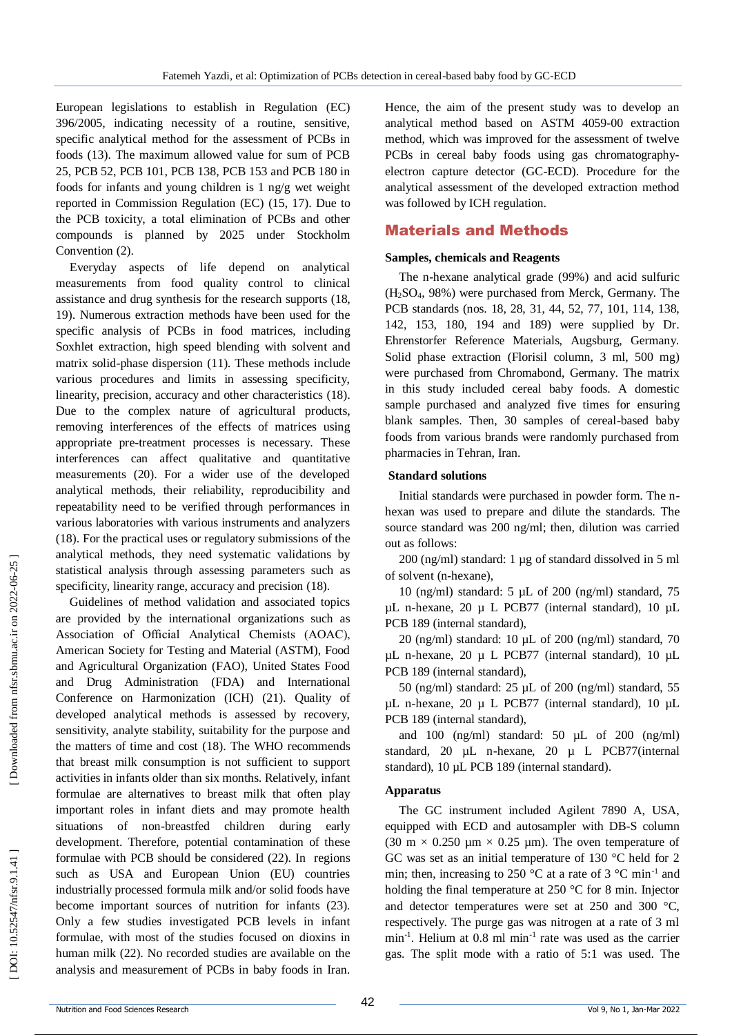European legislations to establish in Regulation (EC) 396/2005, indicating necessity of a routine, sensitive, specific analytical method for the assessment of PCBs in foods (13). The maximum allowed value for sum of PCB 25, PCB 52, PCB 101, PCB 138, PCB 153 and PCB 180 in foods for infants and young children is 1 ng/g wet weight reported in Commission Regulation (EC) (15, 17). Due to the PCB toxicity, a total elimination of PCBs and other compounds is planned by 2025 under Stockholm Convention (2) .

Everyday aspects of life depend on analytical measurements from food quality control to clinical assistance and drug synthesis for the research supports (18, 19). Numerous extraction methods have been used for the specific analysis of PCBs in food matrices, including Soxhlet extraction, high speed blending with solvent and matrix solid -phase dispersion (11). These methods include various procedures and limits in assessing specificity, linearity, precision, accuracy and other characteristics (18). Due to the complex nature of agricultural products, removing interferences of the effects of matrices using appropriate pre -treatment processes is necessary. These interferences can affect qualitative and quantitative measurements (20). For a wider use of the developed analytical methods, their reliability, reproducibility and repeatability need to be verified through performances in various laboratories with various instruments and analyzers (18). For the practical uses or regulatory submissions of the analytical methods, they need systematic validations by statistical analysis through assessing parameters such as specificity, linearity range, accuracy and precision (18) .

Guidelines of method validation and associated topics are provided by the international organizations such as Association of Official Analytical Chemists (AOAC), American Society for Testing and Material (ASTM), Food and Agricultural Organization (FAO), United States Food and Drug Administration (FDA) and International Conference on Harmonization (ICH) (21). Quality of developed analytical methods is assessed by recovery, sensitivity, analyte stability, suitability for the purpose and the matters of time and cost (18). The WHO recommends that breast milk consumption is not sufficient to support activities in infants older than six months. Relatively, infant formulae are alternatives to breast milk that often play important roles in infant diets and may promote health situations of non -breastfed children during early development. Therefore, potential contamination of these formulae with PCB should be considered (22). In regions such as USA and European Union (EU) countries industrially processed formula milk and/or solid foods have become important sources of nutrition for infants (23). Only a few studies investigated PCB levels in infant formulae, with most of the studies focused on dioxins in human milk (22). No recorded studies are available on the analysis and measurement of PCBs in baby foods in Iran.

Hence, the aim of the present study was to develop an analytical method based on ASTM 4059 -00 extraction method, which was improved for the assessment of twelve PCBs in cereal baby foods using gas chromatographyelectron capture detector (GC -ECD). Procedure for the analytical assessment of the developed extraction method was followed by ICH regulation.

#### Material s and Methods

#### **Samples, chemicals and Reagents**

The n -hexane analytical grade (99%) and acid sulfuric (H <sup>2</sup>SO <sup>4</sup>, 98%) were purchased from Merck, Germany. The PCB standards (nos. 18, 28, 31, 44, 52, 77, 101, 114, 138, 142, 153, 180, 194 and 189) were supplied by Dr. Ehrenstorfer Reference Materials, Augsburg, Germany. Solid phase extraction (Florisil column, 3 ml, 500 mg) were purchased from Chromabond, Germany. The matrix in this study included cereal baby foods. A domestic sample purchased and analyzed five times for ensuring blank samples. Then, 30 samples of cereal -based baby foods from various brands were randomly purchased from pharmacies in Tehran, Iran.

#### **Standard solutions**

Initial standards were purchased in powder form. The n hexan was used to prepare and dilute the standards. The source standard was 200 ng/ml; then, dilution was carried out as follows:

200 (ng/ml) standard: 1 µg of standard dissolved in 5 ml of solvent (n -hexane),

10 (ng/ml) standard: 5 µL of 200 (ng/ml) standard, 75 µL n -hexane, 20 µ L PCB77 (internal standard), 10 µL PCB 189 (internal standard),

20 (ng/ml) standard: 10 µL of 200 (ng/ml) standard, 70 µL n -hexane, 20 µ L PCB77 (internal standard), 10 µL PCB 189 (internal standard),

50 (ng/ml) standard: 25 µL of 200 (ng/ml) standard, 55 µL n -hexane, 20 µ L PCB77 (internal standard), 10 µL PCB 189 (internal standard),

and 100 (ng/ml) standard:  $50 \mu L$  of  $200 \text{ (ng/ml)}$ standard, 20 µL n -hexane, 20 µ L PCB77(internal standard), 10 µL PCB 189 (internal standard).

#### **Apparatus**

The GC instrument included Agilent 7890 A, USA, equipped with ECD and autosampler with DB -S column (30 m  $\times$  0.250 µm  $\times$  0.25 µm). The oven temperature of GC was set as an initial temperature of 130 °C held for 2 min; then, increasing to 250 °C at a rate of 3 °C min<sup>-1</sup> and holding the final temperature at 250 °C for 8 min. Injector and detector temperatures were set at 250 and 300 °C, respectively. The purge gas was nitrogen at a rate of 3 ml min<sup>-1</sup>. Helium at 0.8 ml min<sup>-1</sup> rate was used as the carrier gas. The split mode with a ratio of 5:1 was used. The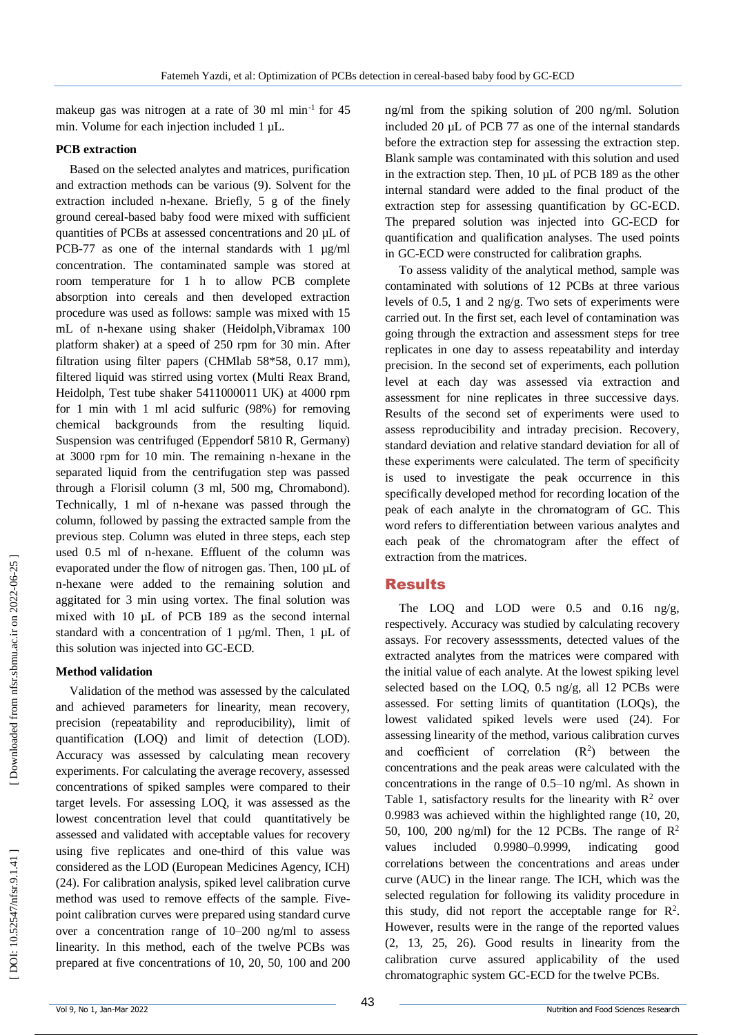makeup gas was nitrogen at a rate of 30 ml min<sup>-1</sup> for 45 min. Volume for each injection included 1 µL.

#### **PCB extraction**

Based on the selected analytes and matrices, purification and extraction methods can be various (9). Solvent for the extraction included n -hexane. Briefly, 5 g of the finely ground cereal -based baby food were mixed with sufficient quantities of PCBs at assessed concentrations and 20 µL of PCB-77 as one of the internal standards with 1 µg/ml concentration. The contaminated sample was stored at room temperature for 1 h to allow PCB complete absorption into cereals and then developed extraction procedure was used as follows: sample was mixed with 15 mL of n -hexane using shaker (Heidolph,Vibramax 100 platform shaker) at a speed of 250 rpm for 30 min. After filtration using filter papers (CHMlab 58\*58, 0.17 mm), filtered liquid was stirred using vortex (Multi Reax Brand, Heidolph, Test tube shaker 5411000011 UK) at 4000 rpm for 1 min with 1 ml acid sulfuric (98%) for removing chemical backgrounds from the resulting liquid. Suspension was centrifuged (Eppendorf 5810 R, Germany) at 3000 rpm for 10 min. The remaining n -hexane in the separated liquid from the centrifugation step was passed through a Florisil column (3 ml, 500 mg, Chromabond). Technically, 1 ml of n-hexane was passed through the column, followed by passing the extracted sample from the previous step. Column was eluted in three steps, each step used 0.5 ml of n -hexane. Effluent of the column was evaporated under the flow of nitrogen gas. Then, 100 µL of n-hexane were added to the remaining solution and aggitated for 3 min using vortex. The final solution was mixed with 10 µL of PCB 189 as the second internal standard with a concentration of 1 µg/ml. Then, 1 µL of this solution was injected into GC -ECD.

#### **Method validation**

Validation of the method was assessed by the calculated and achieved parameters for linearity, mean recovery, precision (repeatability and reproducibility), limit of quantification (LOQ) and limit of detection (LOD). Accuracy was assessed by calculating mean recovery experiments. For calculating the average recovery, assessed concentrations of spiked samples were compared to their target levels. For assessing LOQ, it was assessed as the lowest concentration level that could quantitatively be assessed and validated with acceptable values for recovery using five replicates and one -third of this value was considered as the LOD (European Medicines Agency, ICH) (24). For calibration analysis, spiked level calibration curve method was used to remove effects of the sample. Five point calibration curves were prepared using standard curve over a concentration range of 10 –200 ng/ml to assess linearity. In this method, each of the twelve PCBs was prepared at five concentrations of 10, 20, 50, 100 and 200

ng/ml from the spiking solution of 200 ng/ml. Solution included 20 µL of PCB 77 as one of the internal standards before the extraction step for assessing the extraction step. Blank sample was contaminated with this solution and used in the extraction step. Then, 10 µL of PCB 189 as the other internal standard were added to the final product of the extraction step for assessing quantification by GC -ECD. The prepared solution was injected into GC -ECD for quantification and qualification analyses. The used points in GC -ECD were constructed for calibration graphs.

To assess validity of the analytical method, sample was contaminated with solutions of 12 PCBs at three various levels of 0.5, 1 and 2 ng/g. Two sets of experiments were carried out. In the first set, each level of contamination was going through the extraction and assessment steps for tree replicates in one day to assess repeatability and interday precision. In the second set of experiments, each pollution level at each day was assessed via extraction and assessment for nine replicates in three successive days. Results of the second set of experiments were used to assess reproducibility and intraday precision. Recovery, standard deviation and relative standard deviation for all of these experiments were calculated. The term of specificity is used to investigate the peak occurrence in this specifically developed method for recording location of the peak of each analyte in the chromatogram of GC. This word refers to differentiation between various analytes and each peak of the chromatogram after the effect of extraction from the matrices.

## Results

The LOQ and LOD were 0.5 and 0.16 ng/g, respectively. Accuracy was studied by calculating recovery assays. For recovery assesssments, detected values of the extracted analytes from the matrices were compared with the initial value of each analyte. At the lowest spiking level selected based on the LOQ, 0.5 ng/g, all 12 PCBs were assessed. For setting limits of quantitation (LOQs), the lowest validated spiked levels were used (24). For assessing linearity of the method, various calibration curves and coefficient of correlation  $(R^2)$  between the concentrations and the peak areas were calculated with the concentrations in the range of 0.5 –10 ng/ml. As shown in Table 1, satisfactory results for the linearity with  $\mathbb{R}^2$  over 0.9983 was achieved within the highlighted range (10, 20, 50, 100, 200 ng/ml) for the 12 PCBs. The range of  $\mathbb{R}^2$ values included 0.9980–0.9999, indicating good correlations between the concentrations and areas under curve (AUC) in the linear range. The ICH, which was the selected regulation for following its validity procedure in this study, did not report the acceptable range for  $\mathbb{R}^2$ . However, results were in the range of the reported values (2, 13, 25, 26). Good results in linearity from the calibration curve assured applicability of the used chromatographic system GC -ECD for the twelve PCBs.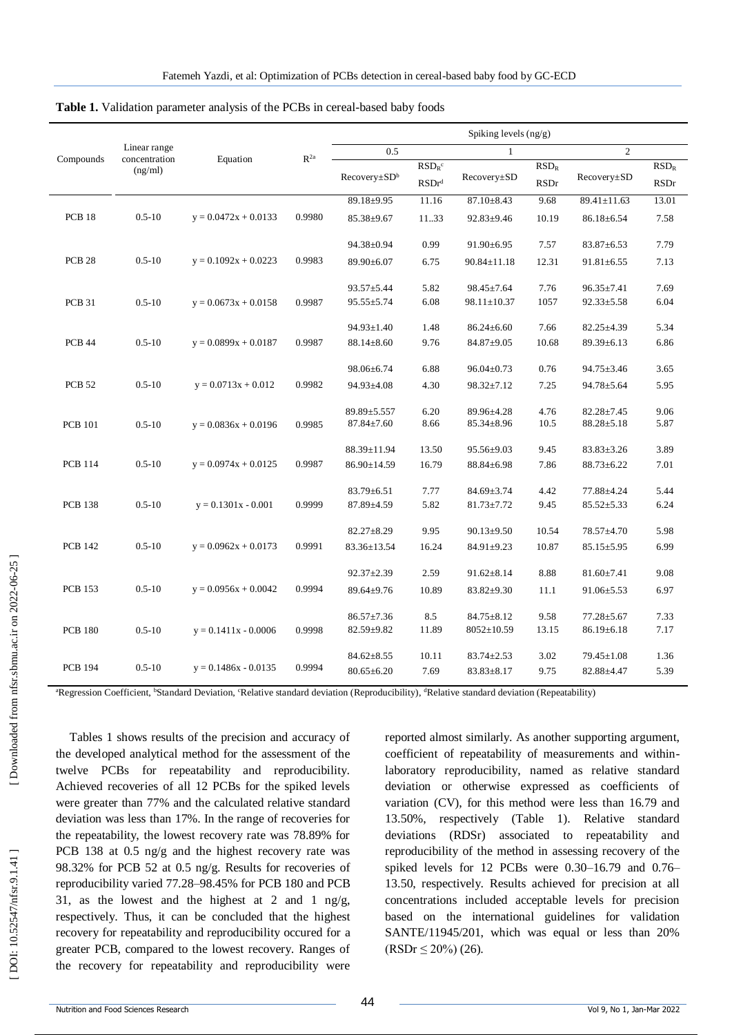|                   |                                          | Equation               | $R^{2a}$ | Spiking levels $(ng/g)$  |                            |                   |             |                   |             |  |
|-------------------|------------------------------------------|------------------------|----------|--------------------------|----------------------------|-------------------|-------------|-------------------|-------------|--|
| Compounds         | Linear range<br>concentration<br>(ng/ml) |                        |          | 0.5                      |                            | $\mathbf{1}$      |             | $\overline{c}$    |             |  |
|                   |                                          |                        |          |                          | $RSDR$ c                   | Recovery±SD       | $RSD_R$     |                   | $RSD_R$     |  |
|                   |                                          |                        |          | Recovery±SD <sup>b</sup> | $\mathrm{RSDr}^\mathrm{d}$ |                   | <b>RSDr</b> | $Recovery \pm SD$ | <b>RSDr</b> |  |
|                   |                                          |                        |          | 89.18±9.95               | 11.16                      | $87.10 \pm 8.43$  | 9.68        | 89.41±11.63       | 13.01       |  |
| <b>PCB 18</b>     | $0.5 - 10$                               | $y = 0.0472x + 0.0133$ | 0.9980   | $85.38 \pm 9.67$         | 11.33                      | $92.83 \pm 9.46$  | 10.19       | $86.18 \pm 6.54$  | 7.58        |  |
|                   |                                          |                        |          | 94.38±0.94               | 0.99                       | $91.90 \pm 6.95$  | 7.57        | $83.87 \pm 6.53$  | 7.79        |  |
| PCB <sub>28</sub> | $0.5 - 10$                               | $y = 0.1092x + 0.0223$ | 0.9983   | 89.90±6.07               | 6.75                       | $90.84 \pm 11.18$ | 12.31       | $91.81 \pm 6.55$  | 7.13        |  |
|                   |                                          |                        |          | $93.57 \pm 5.44$         | 5.82                       | $98.45 \pm 7.64$  | 7.76        | $96.35 \pm 7.41$  | 7.69        |  |
| PCB 31            | $0.5 - 10$                               | $y = 0.0673x + 0.0158$ | 0.9987   | $95.55 \pm 5.74$         | 6.08                       | $98.11 \pm 10.37$ | 1057        | $92.33 \pm 5.58$  | 6.04        |  |
|                   |                                          |                        |          | $94.93 \pm 1.40$         | 1.48                       | $86.24 \pm 6.60$  | 7.66        | $82.25 \pm 4.39$  | 5.34        |  |
| <b>PCB 44</b>     | $0.5 - 10$                               | $y = 0.0899x + 0.0187$ | 0.9987   | $88.14 \pm 8.60$         | 9.76                       | 84.87±9.05        | 10.68       | $89.39 \pm 6.13$  | 6.86        |  |
|                   |                                          |                        |          | 98.06±6.74               | 6.88                       | $96.04 \pm 0.73$  | 0.76        | $94.75 \pm 3.46$  | 3.65        |  |
| <b>PCB 52</b>     | $0.5 - 10$                               | $y = 0.0713x + 0.012$  | 0.9982   | 94.93±4.08               | 4.30                       | $98.32 \pm 7.12$  | 7.25        | 94.78±5.64        | 5.95        |  |
|                   |                                          |                        |          | 89.89±5.557              | 6.20                       | 89.96±4.28        | 4.76        | $82.28 \pm 7.45$  | 9.06        |  |
| <b>PCB</b> 101    | $0.5 - 10$                               | $y = 0.0836x + 0.0196$ | 0.9985   | $87.84 \pm 7.60$         | 8.66                       | $85.34 \pm 8.96$  | 10.5        | $88.28 \pm 5.18$  | 5.87        |  |
|                   |                                          |                        |          | 88.39±11.94              | 13.50                      | $95.56 \pm 9.03$  | 9.45        | $83.83 \pm 3.26$  | 3.89        |  |
| <b>PCB 114</b>    | $0.5 - 10$                               | $y = 0.0974x + 0.0125$ | 0.9987   | 86.90±14.59              | 16.79                      | $88.84 \pm 6.98$  | 7.86        | $88.73 \pm 6.22$  | 7.01        |  |
|                   |                                          |                        |          | $83.79 \pm 6.51$         | 7.77                       | $84.69 \pm 3.74$  | 4.42        | 77.88±4.24        | 5.44        |  |
| <b>PCB 138</b>    | $0.5 - 10$                               | $y = 0.1301x - 0.001$  | 0.9999   | $87.89 \pm 4.59$         | 5.82                       | $81.73 \pm 7.72$  | 9.45        | $85.52 \pm 5.33$  | 6.24        |  |
|                   |                                          |                        |          | $82.27 \pm 8.29$         | 9.95                       | $90.13 \pm 9.50$  | 10.54       | 78.57±4.70        | 5.98        |  |
| <b>PCB 142</b>    | $0.5 - 10$                               | $y = 0.0962x + 0.0173$ | 0.9991   | 83.36±13.54              | 16.24                      | $84.91 \pm 9.23$  | 10.87       | $85.15 \pm 5.95$  | 6.99        |  |
|                   |                                          |                        |          | $92.37 \pm 2.39$         | 2.59                       | $91.62 \pm 8.14$  | 8.88        | $81.60 \pm 7.41$  | 9.08        |  |
| <b>PCB</b> 153    | $0.5 - 10$                               | $y = 0.0956x + 0.0042$ | 0.9994   | 89.64±9.76               | 10.89                      | $83.82 \pm 9.30$  | 11.1        | $91.06 \pm 5.53$  | 6.97        |  |
|                   |                                          |                        |          | $86.57 \pm 7.36$         | 8.5                        | $84.75 \pm 8.12$  | 9.58        | $77.28 \pm 5.67$  | 7.33        |  |
| <b>PCB 180</b>    | $0.5 - 10$                               | $y = 0.1411x - 0.0006$ | 0.9998   | 82.59±9.82               | 11.89                      | $8052 \pm 10.59$  | 13.15       | $86.19 \pm 6.18$  | 7.17        |  |
|                   |                                          |                        |          | $84.62 \pm 8.55$         | 10.11                      | $83.74 \pm 2.53$  | 3.02        | 79.45±1.08        | 1.36        |  |
| <b>PCB 194</b>    | $0.5 - 10$                               | $y = 0.1486x - 0.0135$ | 0.9994   | $80.65 \pm 6.20$         | 7.69                       | $83.83 \pm 8.17$  | 9.75        | 82.88±4.47        | 5.39        |  |

Table 1. Validation parameter analysis of the PCBs in cereal-based baby foods

<sup>a</sup>Regression Coefficient, <sup>b</sup>Standard Deviation, <sup>c</sup>Relative standard deviation (Reproducibility), <sup>d</sup>Relative standard deviation (Repeatability)

Tables 1 shows results of the precision and accuracy of the developed analytical method for the assessment of the twelve PCBs for repeatability and reproducibility. Achieved recoveries of all 12 PCBs for the spiked levels were greater than 77% and the calculated relative standard deviation was less than 17%. In the range of recoveries for the repeatability, the lowest recovery rate was 78.89% for PCB 138 at 0.5 ng/g and the highest recovery rate was 98.32% for PCB 52 at 0.5 ng/g. Results for recoveries of reproducibility varied 77.28 –98.45% for PCB 180 and PCB 31, as the lowest and the highest at 2 and 1 ng/g, respectively. Thus, it can be concluded that the highest recovery for repeatability and reproducibility occured for a greater PCB, compared to the lowest recovery. Ranges of the recovery for repeatability and reproducibility were

reported almost similarly. As another supporting argument, coefficient of repeatability of measurements and within laboratory reproducibility, named as relative standard deviation or otherwise expressed as coefficients of variation (CV), for this method were less than 16.79 and 13.50%, respectively (Table 1). Relative standard deviations (RDSr) associated to repeatability and reproducibility of the method in assessing recovery of the spiked levels for 12 PCBs were 0.30-16.79 and 0.76-13.50, respectively. Results achieved for precision at all concentrations included acceptable levels for precision based on the international guidelines for validation SANTE/11945/201, which was equal or less than 20%  $(RSDr \leq 20\%)$  (26).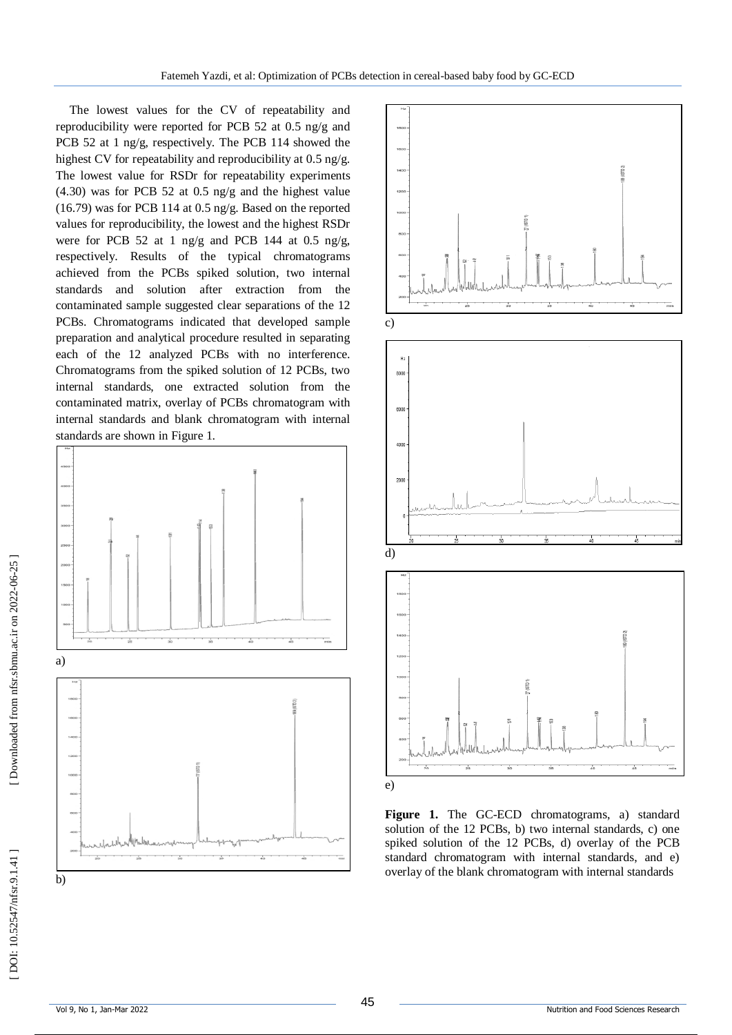The lowest values for the CV of repeatability and reproducibility were reported for PCB 52 at 0.5 ng/g and PCB 52 at 1 ng/g, respectively. The PCB 114 showed the highest CV for repeatability and reproducibility at 0.5 ng/g. The lowest value for RSDr for repeatability experiments (4.30) was for PCB 52 at 0.5 ng/g and the highest value (16.79) was for PCB 114 at 0.5 ng/g. Based on the reported values for reproducibility, the lowest and the highest RSDr were for PCB 52 at 1 ng/g and PCB 144 at 0.5 ng/g, respectively. Results of the typical chromatograms achieved from the PCBs spiked solution, two internal standards and solution after extraction from the contaminated sample suggested clear separations of the 12 PCBs. Chromatograms indicated that developed sample preparation and analytical procedure resulted in separating each of the 12 analyzed PCBs with no interference. Chromatograms from the spiked solution of 12 PCBs, two internal standards, one extracted solution from the contaminated matrix, overlay of PCBs chromatogram with internal standards and blank chromatogram with internal





**Figure 1.** The GC -ECD chromatograms, a) standard solution of the 12 PCBs, b) two internal standards, c) one spiked solution of the 12 PCBs, d) overlay of the PCB standard chromatogram with internal standards, and e) overlay of the blank chromatogram with internal standards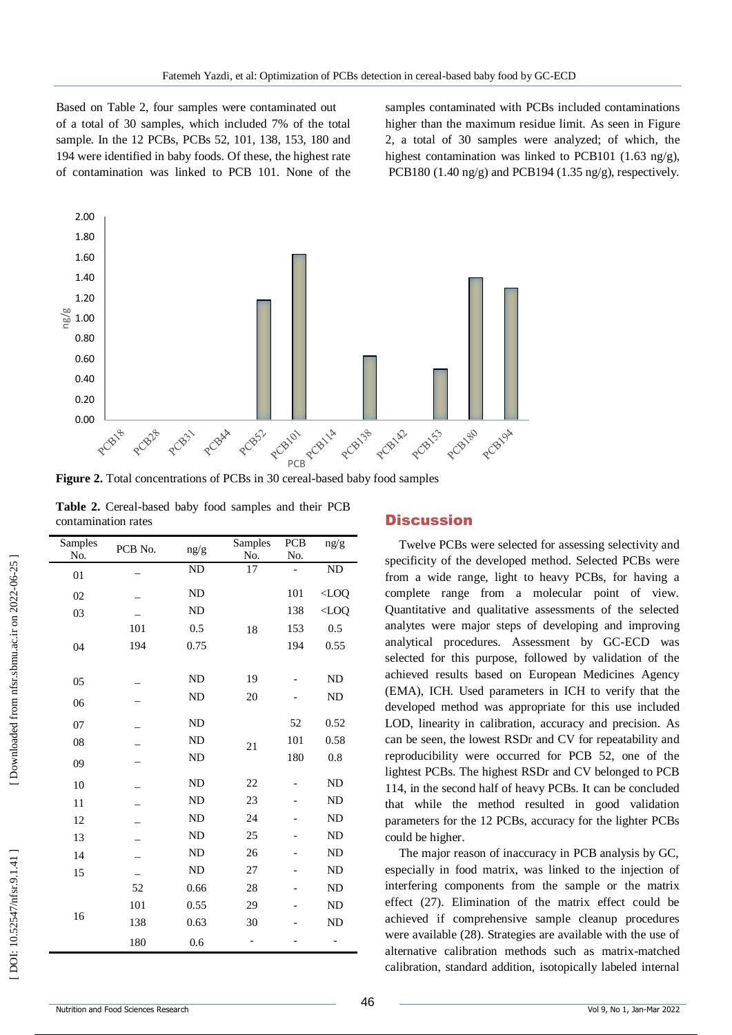Based on Table 2, four samples were contaminated out of a total of 30 samples, which included 7% of the total sample. In the 12 PCBs, PCBs 52, 101, 138, 153, 180 and 194 were identified in baby foods. Of these, the highest rate of contamination was linked to PCB 101. None of the samples contaminated with PCBs included contaminations higher than the maximum residue limit. As seen in Figure 2, a total of 30 samples were analyzed; of which, the highest contamination was linked to PCB101 (1.63 ng/g), PCB180 (1.40 ng/g) and PCB194 (1.35 ng/g), respectively.



Figure 2. Total concentrations of PCBs in 30 cereal-based baby food samples

|  | Table 2. Cereal-based baby food samples and their PCB |  |  |  |
|--|-------------------------------------------------------|--|--|--|
|  | contamination rates                                   |  |  |  |

| Samples | PCB No. | ng/g      | Samples | PCB | ng/g      |
|---------|---------|-----------|---------|-----|-----------|
| No.     |         |           | No.     | No. |           |
| 01      |         | ND        | 17      |     | ND        |
| 02      |         | ND        |         | 101 | $<$ LOQ   |
| 03      |         | <b>ND</b> |         | 138 | $<$ LOQ   |
|         | 101     | 0.5       | 18      | 153 | 0.5       |
| 04      | 194     | 0.75      |         | 194 | 0.55      |
|         |         |           |         |     |           |
| 05      |         | <b>ND</b> | 19      |     | <b>ND</b> |
| 06      |         | <b>ND</b> | 20      |     | ND        |
| 07      |         | ND        |         | 52  | 0.52      |
| 08      |         | <b>ND</b> | 21      | 101 | 0.58      |
| 09      |         | <b>ND</b> |         | 180 | 0.8       |
| 10      |         | ND        | 22      |     | ND        |
| 11      |         | <b>ND</b> | 23      |     | ND        |
| 12      |         | <b>ND</b> | 24      |     | ND        |
| 13      |         | <b>ND</b> | 25      |     | <b>ND</b> |
| 14      |         | <b>ND</b> | 26      |     | ND        |
| 15      |         | <b>ND</b> | 27      |     | <b>ND</b> |
|         | 52      | 0.66      | 28      |     | ND        |
|         | 101     | 0.55      | 29      |     | ND        |
| 16      | 138     | 0.63      | 30      |     | ND        |
|         | 180     | 0.6       |         |     |           |

#### **Discussion**

Twelve PCBs were selected for assessing selectivity and specificity of the developed method. Selected PCBs were from a wide range, light to heavy PCBs, for having a complete range from a molecular point of view. Quantitative and qualitative assessments of the selected analytes were major steps of developing and improving analytical procedures. Assessment by GC -ECD was selected for this purpose, followed by validation of the achieved results based on European Medicines Agency (EMA), ICH. Used parameters in ICH to verify that the developed method was appropriate for this use included LOD, linearity in calibration, accuracy and precision. As can be seen, the lowest RSDr and CV for repeatability and reproducibility were occurred for PCB 52, one of the lightest PCBs. The highest RSDr and CV belonged to PCB 114, in the second half of heavy PCBs. It can be concluded that while the method resulted in good validation parameters for the 12 PCBs, accuracy for the lighter PCBs could be higher.

The major reason of inaccuracy in PCB analysis by GC, especially in food matrix, was linked to the injection of interfering components from the sample or the matrix effect (27). Elimination of the matrix effect could be achieved if comprehensive sample cleanup procedures were available (28). Strategies are available with the use of alternative calibration methods such as matrix -matched calibration, standard addition, isotopically labeled internal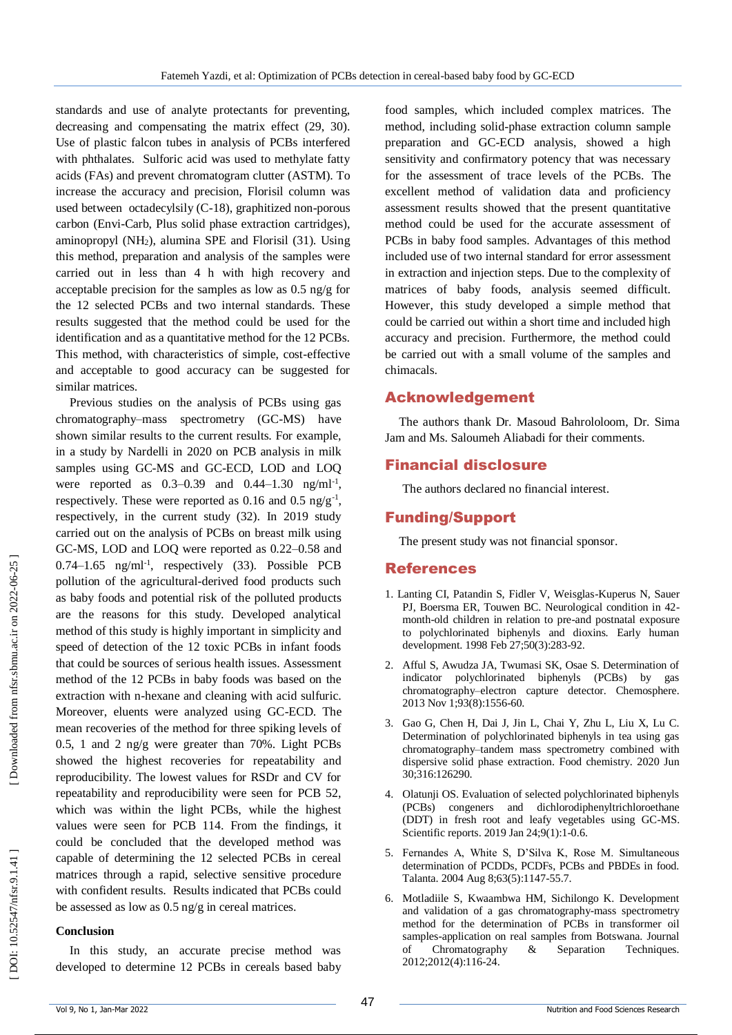standards and use of analyte protectants for preventing, decreasing and compensating the matrix effect (29, 30). Use of plastic falcon tubes in analysis of PCBs interfered with phthalates. Sulforic acid was used to methylate fatty acids (FAs) and prevent chromatogram clutter (ASTM). To increase the accuracy and precision, Florisil column was used between octadecylsily (C -18), graphitized non -porous carbon (Envi -Carb, Plus solid phase extraction cartridges), aminopropyl (NH <sup>2</sup>), alumina SPE and Florisil (31). Using this method, preparation and analysis of the samples were carried out in less than 4 h with high recovery and acceptable precision for the samples as low as 0.5 ng/g for the 12 selected PCBs and two internal standards. These results suggested that the method could be used for the identification and as a quantitative method for the 12 PCBs. This method, with characteristics of simple, cost-effective and acceptable to good accuracy can be suggested for similar matrices.

Previous studies on the analysis of PCBs using gas chromatography–mass spectrometry (GC -MS) have shown similar results to the current results. For example, in a study by Nardelli in 2020 on PCB analysis in milk samples using GC-MS and GC-ECD, LOD and LOQ were reported as  $0.3 - 0.39$  and  $0.44 - 1.30$  ng/ml<sup>-1</sup>, respectively. These were reported as  $0.16$  and  $0.5$  ng/g<sup>-1</sup>, respectively, in the current study (32). In 2019 study carried out on the analysis of PCBs on breast milk using GC -MS, LOD and LOQ were reported as 0.22 –0.58 and  $0.74-1.65$  ng/ml<sup>-1</sup>, respectively (33). Possible PCB pollution of the agricultural -derived food products such as baby foods and potential risk of the polluted products are the reasons for this study. Developed analytical method of this study is highly important in simplicity and speed of detection of the 12 toxic PCBs in infant foods that could be sources of serious health issues. Assessment method of the 12 PCBs in baby foods was based on the extraction with n -hexane and cleaning with acid sulfuric. Moreover, eluents were analyzed using GC -ECD. The mean recoveries of the method for three spiking levels of 0.5, 1 and 2 ng/g were greater than 70%. Light PCBs showed the highest recoveries for repeatability and reproducibility. The lowest values for RSDr and CV for repeatability and reproducibility were seen for PCB 52, which was within the light PCBs, while the highest values were seen for PCB 114. From the findings, it could be concluded that the developed method was capable of determining the 12 selected PCBs in cereal matrices through a rapid, selective sensitive procedure with confident results. Results indicated that PCBs could be assessed as low as 0.5 ng/g in cereal matrices.

#### **Conclusion**

In this study, an accurate precise method was developed to determine 12 PCBs in cereals based baby

food samples, which included complex matrices. The method, including solid -phase extraction column sample preparation and GC -ECD analysis, showed a high sensitivity and confirmatory potency that was necessary for the assessment of trace levels of the PCBs. The excellent method of validation data and proficiency assessment results showed that the present quantitative method could be used for the accurate assessment of PCBs in baby food samples. Advantages of this method included use of two internal standard for error assessment in extraction and injection steps. Due to the complexity of matrices of baby foods, analysis seemed difficult. However, this study developed a simple method that could be carried out within a short time and included high accuracy and precision. Furthermore, the method could be carried out with a small volume of the samples and chimacals.

#### Acknowledgement

The authors thank Dr. Masoud Bahrololoom, Dr. Sima Jam and Ms. Saloumeh Aliabadi for their comments .

#### Financial disclosure

The authors declared no financial interest.

#### Funding/Support

The present study was not financial sponsor.

#### References

- 1. Lanting CI, Patandin S, Fidler V, Weisglas -Kuperus N, Sauer PJ, Boersma ER, Touwen BC. Neurological condition in 42 month -old children in relation to pre -and postnatal exposure to polychlorinated biphenyls and dioxins. Early human development. 1998 Feb 27;50(3):283 -92.
- 2. Afful S, Awudza JA, Twumasi SK, Osae S. Determination of indicator polychlorinated biphenyls (PCBs) by gas chromatography–electron capture detector. Chemosphere. 2013 Nov 1;93(8):1556 -60.
- 3. Gao G, Chen H, Dai J, Jin L, Chai Y, Zhu L, Liu X, Lu C. Determination of polychlorinated biphenyls in tea using gas chromatography–tandem mass spectrometry combined with dispersive solid phase extraction. Food chemistry. 2020 Jun 30;316:126290.
- 4. Olatunji OS. Evaluation of selected polychlorinated biphenyls (PCBs) congeners and dichlorodiphenyltrichloroethane (DDT) in fresh root and leafy vegetables using GC -MS. Scientific reports. 2019 Jan 24;9(1):1 -0.6.
- 5. Fernandes A, White S, D'Silva K, Rose M. Simultaneous determination of PCDDs, PCDFs, PCBs and PBDEs in food. Talanta. 2004 Aug 8;63(5):1147 -55.7.
- 6. Motladiile S, Kwaambwa HM, Sichilongo K. Development and validation of a gas chromatography -mass spectrometry method for the determination of PCBs in transformer oil samples -application on real samples from Botswana. Journal of Chromatography & Separation Techniques. 2012;2012(4):116 -24.